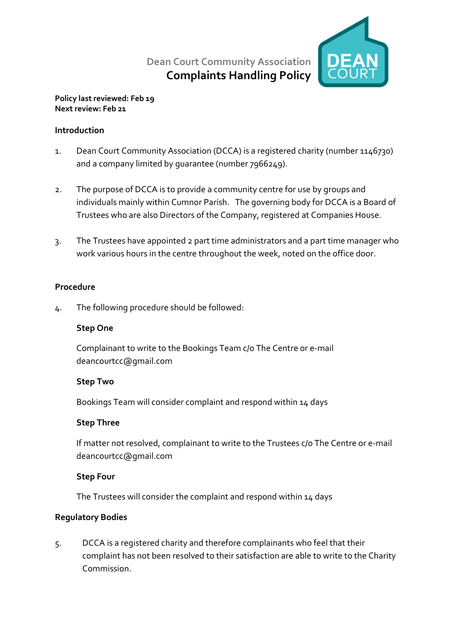Dean Court Community Association Complaints Handling Policy



#### Policy last reviewed: Feb 19 Next review: Feb 21

### Introduction

- 1. Dean Court Community Association (DCCA) is a registered charity (number 1146730) and a company limited by guarantee (number 7966249).
- 2. The purpose of DCCA is to provide a community centre for use by groups and individuals mainly within Cumnor Parish. The governing body for DCCA is a Board of Trustees who are also Directors of the Company, registered at Companies House.
- 3. The Trustees have appointed 2 part time administrators and a part time manager who work various hours in the centre throughout the week, noted on the office door.

### Procedure

4. The following procedure should be followed:

### Step One

Complainant to write to the Bookings Team c/o The Centre or e-mail deancourtcc@gmail.com

### Step Two

Bookings Team will consider complaint and respond within 14 days

# Step Three

If matter not resolved, complainant to write to the Trustees c/o The Centre or e-mail deancourtcc@gmail.com

# Step Four

The Trustees will consider the complaint and respond within 14 days

# Regulatory Bodies

5. DCCA is a registered charity and therefore complainants who feel that their complaint has not been resolved to their satisfaction are able to write to the Charity Commission.